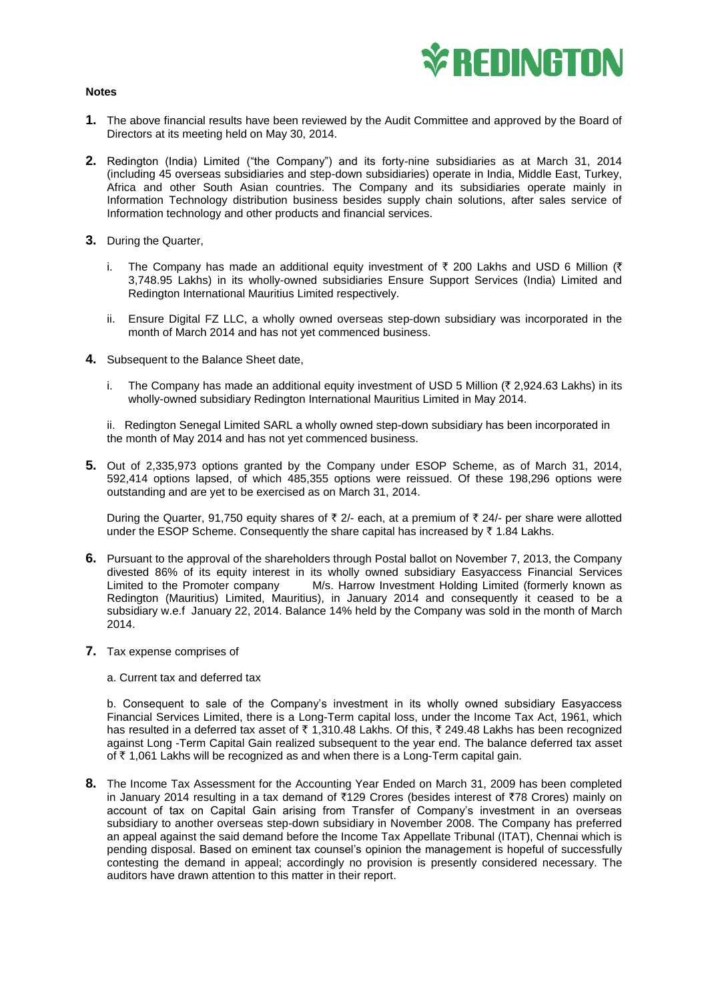

## **Notes**

- **1.** The above financial results have been reviewed by the Audit Committee and approved by the Board of Directors at its meeting held on May 30, 2014.
- **2.** Redington (India) Limited ("the Company") and its forty-nine subsidiaries as at March 31, 2014 (including 45 overseas subsidiaries and step-down subsidiaries) operate in India, Middle East, Turkey, Africa and other South Asian countries. The Company and its subsidiaries operate mainly in Information Technology distribution business besides supply chain solutions, after sales service of Information technology and other products and financial services.
- **3.** During the Quarter,
	- i. The Company has made an additional equity investment of  $\bar{\tau}$  200 Lakhs and USD 6 Million ( $\bar{\tau}$ 3,748.95 Lakhs) in its wholly-owned subsidiaries Ensure Support Services (India) Limited and Redington International Mauritius Limited respectively.
	- ii. Ensure Digital FZ LLC, a wholly owned overseas step-down subsidiary was incorporated in the month of March 2014 and has not yet commenced business.
- **4.** Subsequent to the Balance Sheet date,
	- i. The Company has made an additional equity investment of USD 5 Million ( $\bar{\tau}$  2,924.63 Lakhs) in its wholly-owned subsidiary Redington International Mauritius Limited in May 2014.

ii. Redington Senegal Limited SARL a wholly owned step-down subsidiary has been incorporated in the month of May 2014 and has not yet commenced business.

**5.** Out of 2,335,973 options granted by the Company under ESOP Scheme, as of March 31, 2014, 592,414 options lapsed, of which 485,355 options were reissued. Of these 198,296 options were outstanding and are yet to be exercised as on March 31, 2014.

During the Quarter, 91,750 equity shares of  $\bar{x}$  2/- each, at a premium of  $\bar{x}$  24/- per share were allotted under the ESOP Scheme. Consequently the share capital has increased by  $\bar{\tau}$  1.84 Lakhs.

- **6.** Pursuant to the approval of the shareholders through Postal ballot on November 7, 2013, the Company divested 86% of its equity interest in its wholly owned subsidiary Easyaccess Financial Services M/s. Harrow Investment Holding Limited (formerly known as Redington (Mauritius) Limited, Mauritius), in January 2014 and consequently it ceased to be a subsidiary w.e.f January 22, 2014. Balance 14% held by the Company was sold in the month of March 2014.
- **7.** Tax expense comprises of

## a. Current tax and deferred tax

b. Consequent to sale of the Company's investment in its wholly owned subsidiary Easyaccess Financial Services Limited, there is a Long-Term capital loss, under the Income Tax Act, 1961, which has resulted in a deferred tax asset of  $\bar{\tau}$  1,310.48 Lakhs. Of this,  $\bar{\tau}$  249.48 Lakhs has been recognized against Long -Term Capital Gain realized subsequent to the year end. The balance deferred tax asset of  $\bar{\tau}$  1,061 Lakhs will be recognized as and when there is a Long-Term capital gain.

**8.** The Income Tax Assessment for the Accounting Year Ended on March 31, 2009 has been completed in January 2014 resulting in a tax demand of  $\overline{21}29$  Crores (besides interest of  $\overline{278}$  Crores) mainly on account of tax on Capital Gain arising from Transfer of Company's investment in an overseas subsidiary to another overseas step-down subsidiary in November 2008. The Company has preferred an appeal against the said demand before the Income Tax Appellate Tribunal (ITAT), Chennai which is pending disposal. Based on eminent tax counsel's opinion the management is hopeful of successfully contesting the demand in appeal; accordingly no provision is presently considered necessary. The auditors have drawn attention to this matter in their report.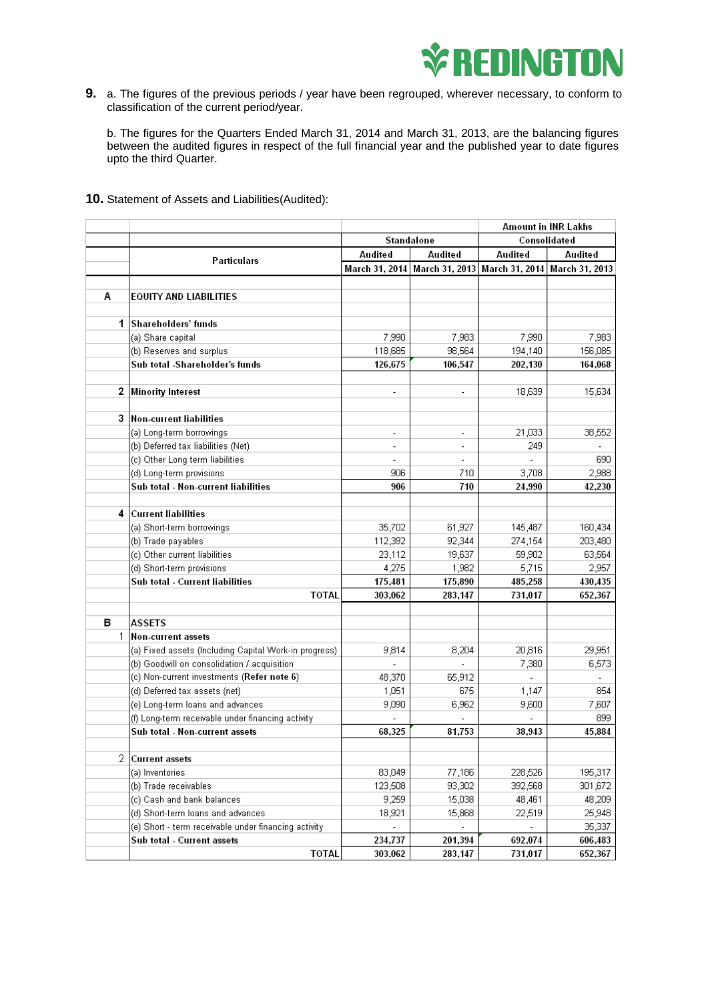

**9.** a. The figures of the previous periods / year have been regrouped, wherever necessary, to conform to classification of the current period/year.

b. The figures for the Quarters Ended March 31, 2014 and March 31, 2013, are the balancing figures between the audited figures in respect of the full financial year and the published year to date figures upto the third Quarter.

## **10.** Statement of Assets and Liabilities(Audited):

|              |                                                                                                      |                          |                          | <b>Amount in INR Lakhs</b> |                |
|--------------|------------------------------------------------------------------------------------------------------|--------------------------|--------------------------|----------------------------|----------------|
|              |                                                                                                      | Standalone               |                          | Consolidated               |                |
|              | Particulars                                                                                          | Audited                  | Audited                  | Audited                    | Audited        |
|              |                                                                                                      | March 31, 2014           | March 31, 2013           | March 31, 2014             | March 31, 2013 |
|              |                                                                                                      |                          |                          |                            |                |
| А            | EQUITY AND LIABILITIES                                                                               |                          |                          |                            |                |
|              |                                                                                                      |                          |                          |                            |                |
| $\mathbf{1}$ | Shareholders' funds                                                                                  |                          |                          |                            |                |
|              | (a) Share capital                                                                                    | 7,990                    | 7,983                    | 7,990                      | 7,983          |
|              | (b) Reserves and surplus                                                                             | 118,685                  | 98,564                   | 194,140                    | 156,085        |
|              | Sub total -Shareholder's funds                                                                       | 126,675                  | 106,547                  | 202,130                    | 164,068        |
|              |                                                                                                      |                          |                          |                            |                |
| 2            | <b>Minority Interest</b>                                                                             | $\overline{\phantom{a}}$ | $\overline{\phantom{a}}$ | 18,639                     | 15,634         |
|              |                                                                                                      |                          |                          |                            |                |
| 3            | <b>Non-current liabilities</b>                                                                       |                          |                          |                            |                |
|              | (a) Long-term borrowings                                                                             | $\overline{\phantom{a}}$ | $\overline{\phantom{a}}$ | 21,033                     | 38,552         |
|              | (b) Deferred tax liabilities (Net)                                                                   | ä,                       | ä,                       | 249                        |                |
|              | (c) Other Long term liabilities                                                                      |                          |                          |                            | 690            |
|              | (d) Long-term provisions                                                                             | 906                      | 710                      | 3,708                      | 2,988          |
|              | Sub total - Non-current liabilities                                                                  | 906                      | 710                      | 24,990                     | 42.230         |
|              |                                                                                                      |                          |                          |                            |                |
| 4            | <b>Current liabilities</b>                                                                           |                          |                          |                            |                |
|              | (a) Short-term borrowings                                                                            | 35,702                   | 61,927                   | 145,487                    | 160,434        |
|              | (b) Trade payables                                                                                   | 112,392                  | 92,344                   | 274,154                    | 203,480        |
|              | (c) Other current liabilities                                                                        | 23,112                   | 19,637                   | 59,902                     | 63,564         |
|              | (d) Short-term provisions                                                                            | 4,275                    | 1,982                    | 5,715                      | 2,957          |
|              | Sub total - Current liabilities                                                                      | 175,481                  | 175,890                  | 485,258                    | 430,435        |
|              | TOTAL                                                                                                | 303,062                  | 283,147                  | 731,017                    | 652,367        |
| в            | ASSETS                                                                                               |                          |                          |                            |                |
| 1            | <b>Non-current assets</b>                                                                            |                          |                          |                            |                |
|              |                                                                                                      |                          | 8,204                    | 20,816                     | 29,951         |
|              | (a) Fixed assets (Including Capital Work-in progress)<br>(b) Goodwill on consolidation / acquisition | 9,814                    |                          | 7,380                      | 6,573          |
|              | (c) Non-current investments (Refer note 6)                                                           | 48,370                   | 65,912                   |                            |                |
|              | (d) Deferred tax assets (net)                                                                        | 1,051                    | 675                      | 1,147                      | 854            |
|              | (e) Long-term loans and advances                                                                     | 9,090                    | 6,962                    | 9,600                      | 7,607          |
|              | (f) Long-term receivable under financing activity                                                    |                          |                          | ÷.                         | 899            |
|              | Sub total - Non-current assets                                                                       | 68,325                   | 81,753                   | 38,943                     | 45.884         |
|              |                                                                                                      |                          |                          |                            |                |
| 2            | <b>Current assets</b>                                                                                |                          |                          |                            |                |
|              | (a) Inventories                                                                                      | 83,049                   | 77,186                   | 228,526                    | 195,317        |
|              | (b) Trade receivables                                                                                | 123,508                  | 93,302                   | 392,568                    | 301,672        |
|              | (c) Cash and bank balances                                                                           | 9,259                    | 15,038                   | 48,461                     | 48,209         |
|              | (d) Short-term loans and advances                                                                    | 18,921                   | 15,868                   | 22,519                     | 25,948         |
|              | (e) Short - term receivable under financing activity                                                 |                          |                          |                            | 35,337         |
|              | Sub total - Current assets                                                                           | 234,737                  | 201,394                  | 692,074                    | 606,483        |
|              | TOTAL                                                                                                | 303,062                  | 283,147                  | 731,017                    | 652,367        |